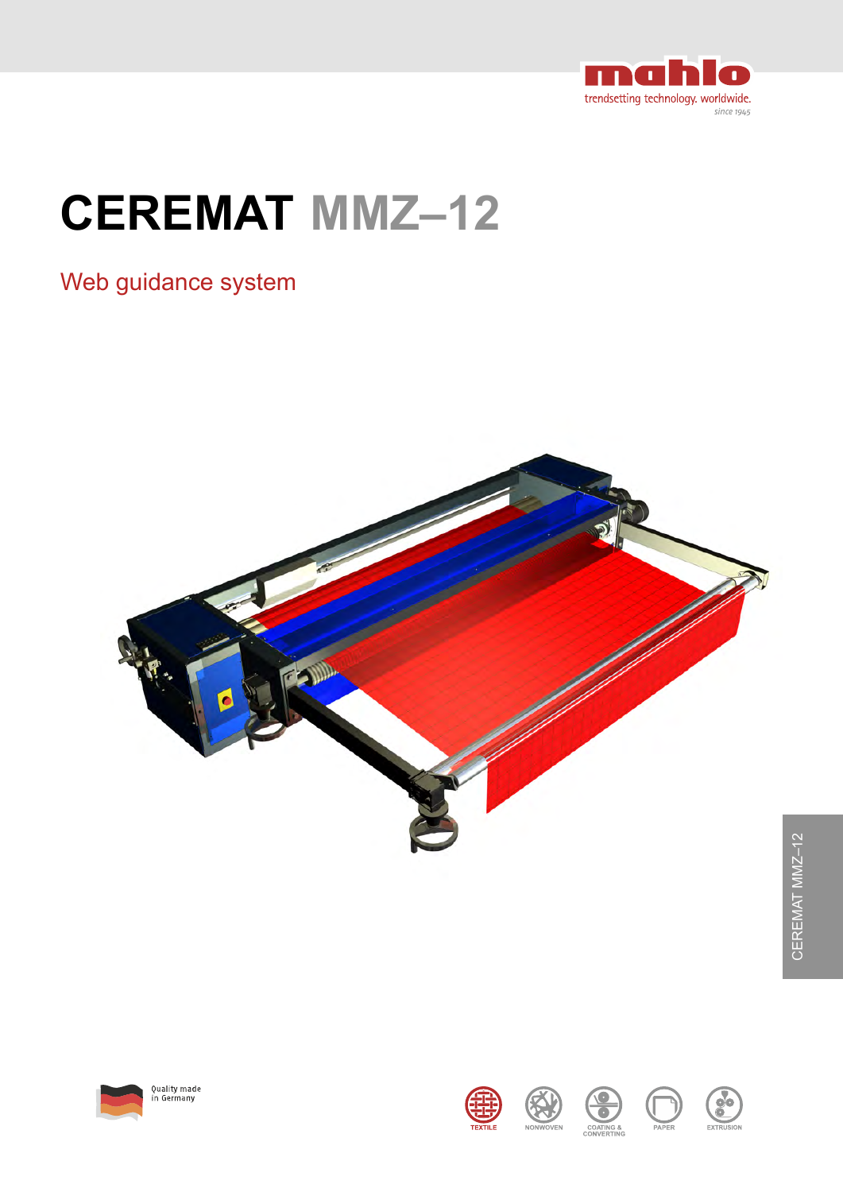

# **CEREMAT MMZ–12**

### Web guidance system























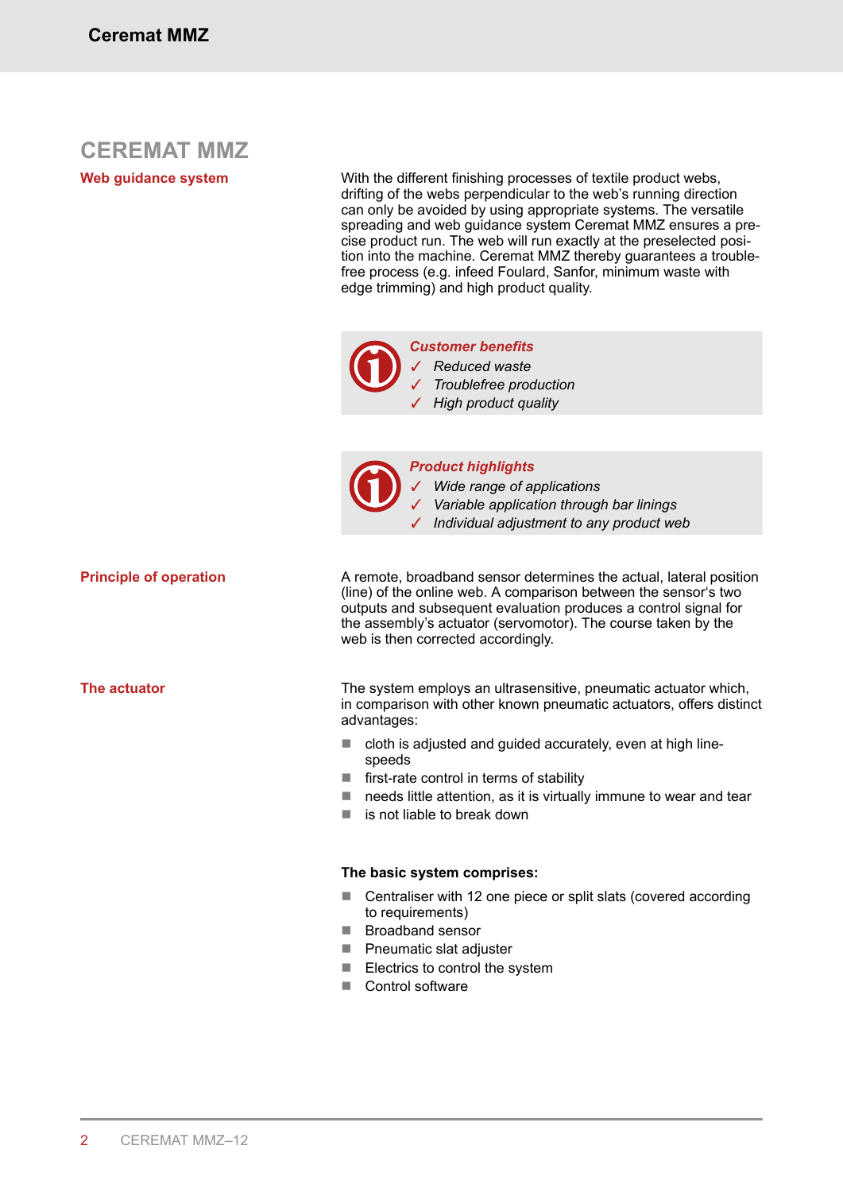### **CEREMAT MMZ**

**Web guidance system**

With the different finishing processes of textile product webs, drifting of the webs perpendicular to the web's running direction can only be avoided by using appropriate systems. The versatile spreading and web guidance system Ceremat MMZ ensures a precise product run. The web will run exactly at the preselected position into the machine. Ceremat MMZ thereby guarantees a troublefree process (e.g. infeed Foulard, Sanfor, minimum waste with edge trimming) and high product quality.



*Customer benefits* ✓ *Reduced waste* ✓ *Troublefree production* ✓ *High product quality*



*Product highlights*

✓ *Wide range of applications*

- ✓ *Variable application through bar linings*
- ✓ *Individual adjustment to any product web*

**Principle of operation**

**The actuator**

A remote, broadband sensor determines the actual, lateral position (line) of the online web. A comparison between the sensor's two outputs and subsequent evaluation produces a control signal for the assembly's actuator (servomotor). The course taken by the web is then corrected accordingly.

The system employs an ultrasensitive, pneumatic actuator which, in comparison with other known pneumatic actuators, offers distinct advantages:

- $\blacksquare$  cloth is adjusted and guided accurately, even at high linespeeds
- $\blacksquare$  first-rate control in terms of stability
- $\blacksquare$  needs little attention, as it is virtually immune to wear and tear
- $\blacksquare$  is not liable to break down

### **The basic system comprises:**

- $\blacksquare$  Centraliser with 12 one piece or split slats (covered according to requirements)
- **E** Broadband sensor
- $\blacksquare$  Pneumatic slat adjuster
- $\blacksquare$  Electrics to control the system
- Control software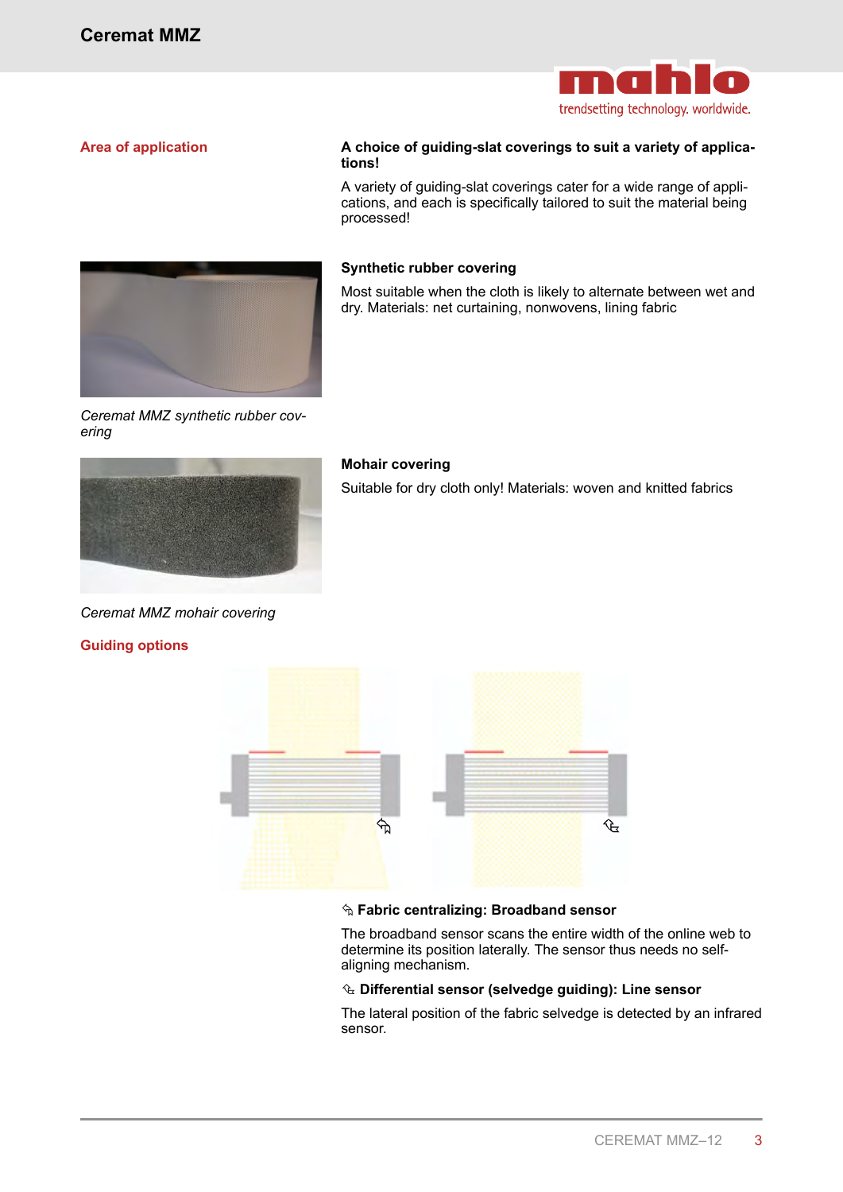

### **Area of application**

### **A choice of guiding-slat coverings to suit a variety of applications!**

A variety of guiding-slat coverings cater for a wide range of applications, and each is specifically tailored to suit the material being processed!



Most suitable when the cloth is likely to alternate between wet and dry. Materials: net curtaining, nonwovens, lining fabric

*Ceremat MMZ synthetic rubber covering*



#### **Mohair covering**

Suitable for dry cloth only! Materials: woven and knitted fabrics

*Ceremat MMZ mohair covering*

#### **Guiding options**



#### Å **Fabric centralizing: Broadband sensor**

The broadband sensor scans the entire width of the online web to determine its position laterally. The sensor thus needs no selfaligning mechanism.

#### Ç **Differential sensor (selvedge guiding): Line sensor**

The lateral position of the fabric selvedge is detected by an infrared sensor.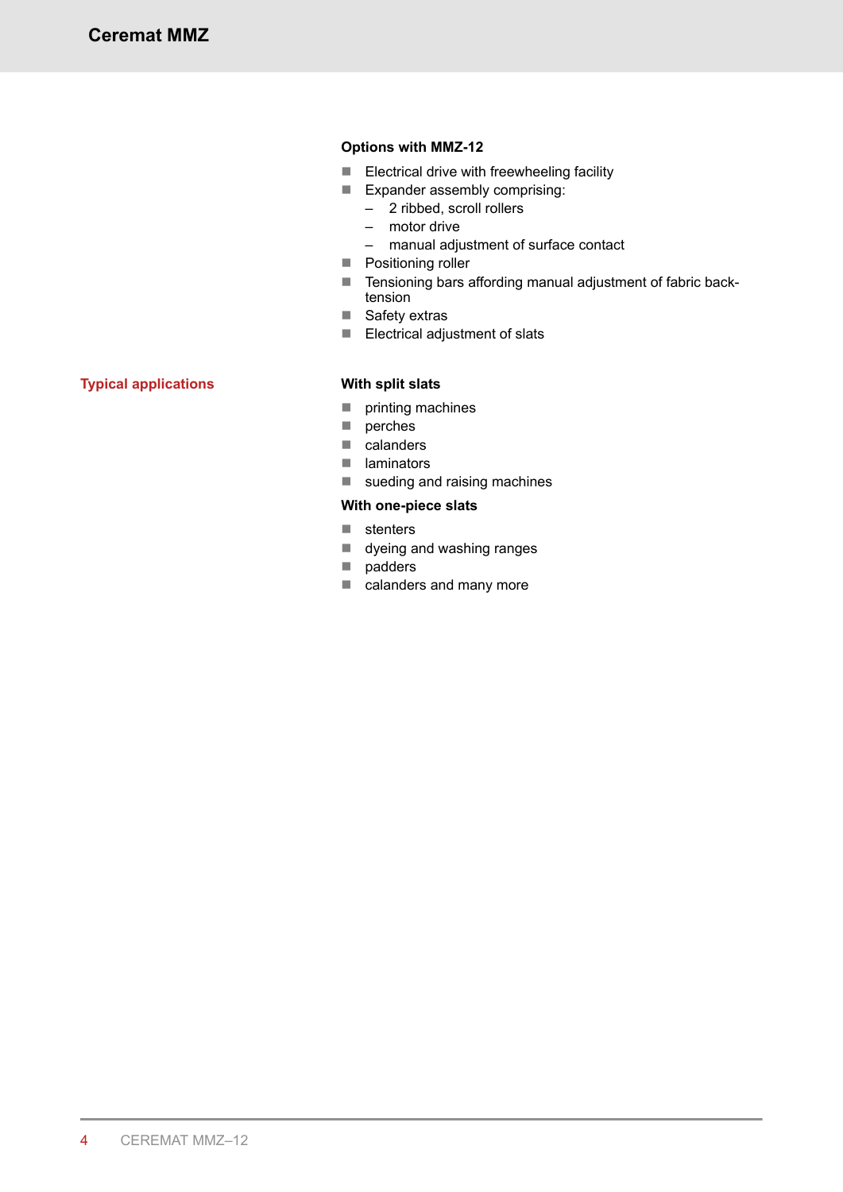### **Options with MMZ-12**

- $\blacksquare$  Electrical drive with freewheeling facility
- $\blacksquare$  Expander assembly comprising:
	- 2 ribbed, scroll rollers
	- motor drive
	- manual adjustment of surface contact
- Positioning roller
- Tensioning bars affording manual adjustment of fabric backtension
- $\blacksquare$  Safety extras
- $\blacksquare$  Electrical adjustment of slats

### **Typical applications**

### **With split slats**

- $\blacksquare$  printing machines
- $\blacksquare$  perches
- $\Box$  calanders
- $\blacksquare$  laminators
- $\blacksquare$  sueding and raising machines

### **With one-piece slats**

- $\blacksquare$  stenters
- $\blacksquare$  dyeing and washing ranges
- $\Box$  padders
- $\blacksquare$  calanders and many more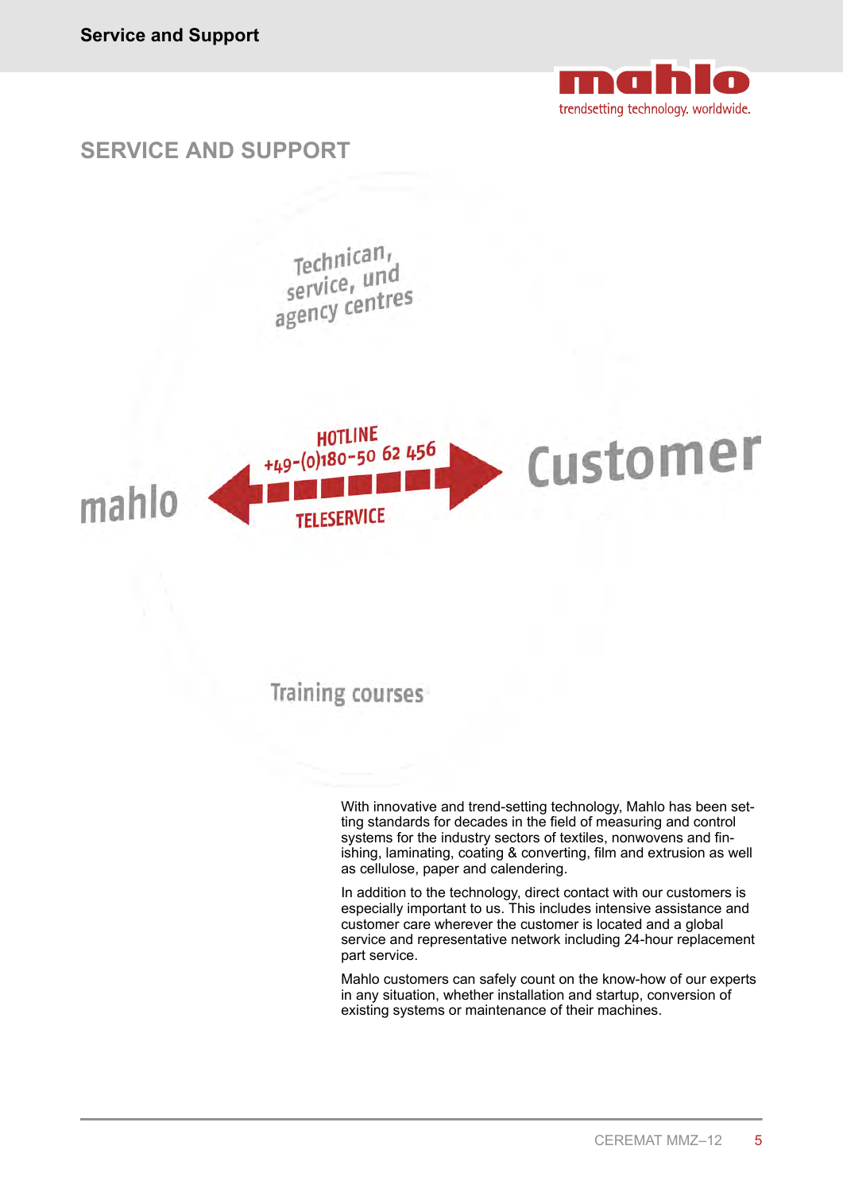

### **SERVICE AND SUPPORT**

 $\text{Technican}_t$ Technically<br>service, und<br>agency centres



### **Training courses**

With innovative and trend-setting technology, Mahlo has been setting standards for decades in the field of measuring and control systems for the industry sectors of textiles, nonwovens and finishing, laminating, coating & converting, film and extrusion as well as cellulose, paper and calendering.

In addition to the technology, direct contact with our customers is especially important to us. This includes intensive assistance and customer care wherever the customer is located and a global service and representative network including 24-hour replacement part service.

Mahlo customers can safely count on the know-how of our experts in any situation, whether installation and startup, conversion of existing systems or maintenance of their machines.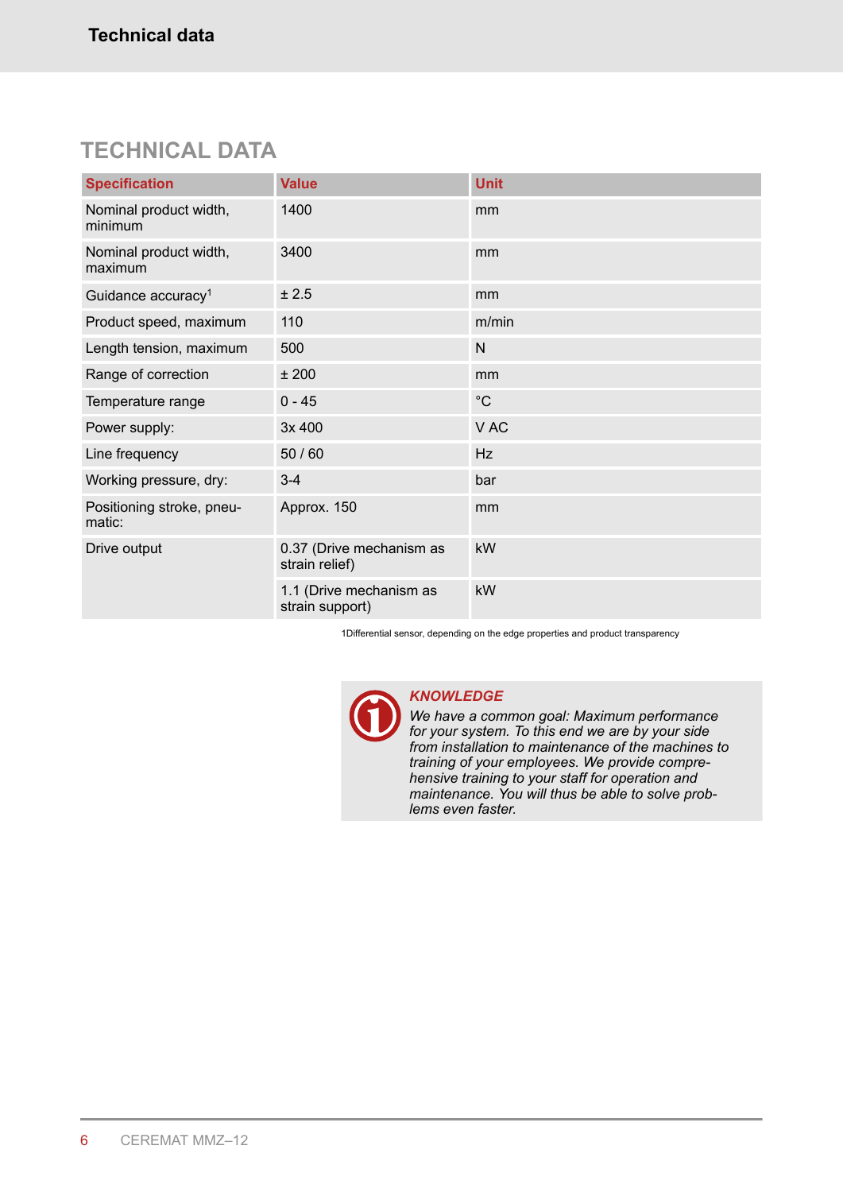### **TECHNICAL DATA**

| <b>Specification</b>                | <b>Value</b>                               | <b>Unit</b> |
|-------------------------------------|--------------------------------------------|-------------|
| Nominal product width,<br>minimum   | 1400                                       | mm          |
| Nominal product width,<br>maximum   | 3400                                       | mm          |
| Guidance accuracy <sup>1</sup>      | ± 2.5                                      | mm          |
| Product speed, maximum              | 110                                        | m/min       |
| Length tension, maximum             | 500                                        | N           |
| Range of correction                 | ±200                                       | mm          |
| Temperature range                   | $0 - 45$                                   | $^{\circ}C$ |
| Power supply:                       | 3x 400                                     | V AC        |
| Line frequency                      | 50 / 60                                    | Hz          |
| Working pressure, dry:              | $3 - 4$                                    | bar         |
| Positioning stroke, pneu-<br>matic: | Approx. 150                                | mm          |
| Drive output                        | 0.37 (Drive mechanism as<br>strain relief) | kW          |
|                                     | 1.1 (Drive mechanism as<br>strain support) | kW          |

1Differential sensor, depending on the edge properties and product transparency



### *KNOWLEDGE*

*We have a common goal: Maximum performance for your system. To this end we are by your side from installation to maintenance of the machines to training of your employees. We provide comprehensive training to your staff for operation and maintenance. You will thus be able to solve problems even faster.*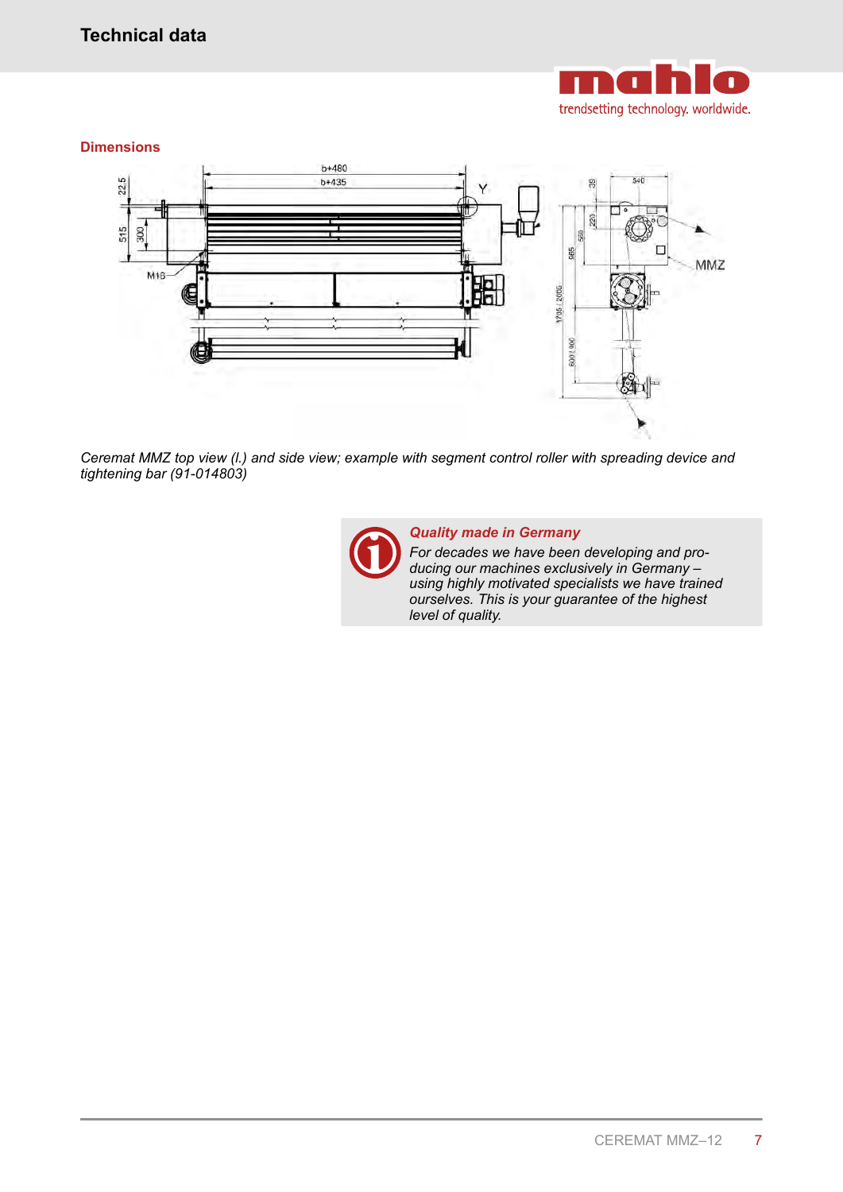

### **Dimensions**



*Ceremat MMZ top view (l.) and side view; example with segment control roller with spreading device and tightening bar (91-014803)*



### *Quality made in Germany*

*For decades we have been developing and producing our machines exclusively in Germany – using highly motivated specialists we have trained ourselves. This is your guarantee of the highest level of quality.*